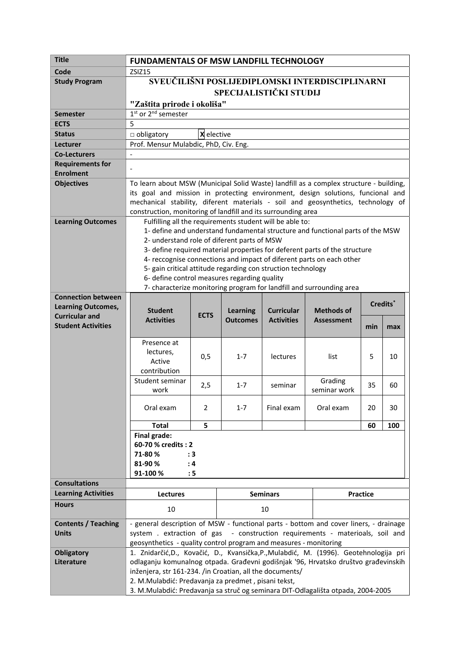| <b>Title</b>                                       | <b>FUNDAMENTALS OF MSW LANDFILL TECHNOLOGY</b>                                                                                                                                                                                                                                                                                                                                                                                                                                                                                          |                |                 |                   |                         |     |     |  |
|----------------------------------------------------|-----------------------------------------------------------------------------------------------------------------------------------------------------------------------------------------------------------------------------------------------------------------------------------------------------------------------------------------------------------------------------------------------------------------------------------------------------------------------------------------------------------------------------------------|----------------|-----------------|-------------------|-------------------------|-----|-----|--|
| Code                                               | ZSIZ15                                                                                                                                                                                                                                                                                                                                                                                                                                                                                                                                  |                |                 |                   |                         |     |     |  |
| <b>Study Program</b>                               | SVEUČILIŠNI POSLIJEDIPLOMSKI INTERDISCIPLINARNI                                                                                                                                                                                                                                                                                                                                                                                                                                                                                         |                |                 |                   |                         |     |     |  |
|                                                    | <b>SPECIJALISTIČKI STUDIJ</b>                                                                                                                                                                                                                                                                                                                                                                                                                                                                                                           |                |                 |                   |                         |     |     |  |
|                                                    | "Zaštita prirode i okoliša"                                                                                                                                                                                                                                                                                                                                                                                                                                                                                                             |                |                 |                   |                         |     |     |  |
| <b>Semester</b>                                    | 1 <sup>st</sup> or 2 <sup>nd</sup> semester                                                                                                                                                                                                                                                                                                                                                                                                                                                                                             |                |                 |                   |                         |     |     |  |
| <b>ECTS</b>                                        | 5                                                                                                                                                                                                                                                                                                                                                                                                                                                                                                                                       |                |                 |                   |                         |     |     |  |
| <b>Status</b>                                      | X elective<br>$\Box$ obligatory                                                                                                                                                                                                                                                                                                                                                                                                                                                                                                         |                |                 |                   |                         |     |     |  |
| Lecturer                                           | Prof. Mensur Mulabdic, PhD, Civ. Eng.                                                                                                                                                                                                                                                                                                                                                                                                                                                                                                   |                |                 |                   |                         |     |     |  |
| <b>Co-Lecturers</b>                                |                                                                                                                                                                                                                                                                                                                                                                                                                                                                                                                                         |                |                 |                   |                         |     |     |  |
| <b>Requirements for</b>                            |                                                                                                                                                                                                                                                                                                                                                                                                                                                                                                                                         |                |                 |                   |                         |     |     |  |
| <b>Enrolment</b>                                   |                                                                                                                                                                                                                                                                                                                                                                                                                                                                                                                                         |                |                 |                   |                         |     |     |  |
| <b>Objectives</b>                                  | To learn about MSW (Municipal Solid Waste) landfill as a complex structure - building,<br>its goal and mission in protecting environment, design solutions, funcional and<br>mechanical stability, diferent materials - soil and geosynthetics, technology of<br>construction, monitoring of landfill and its surrounding area                                                                                                                                                                                                          |                |                 |                   |                         |     |     |  |
| <b>Learning Outcomes</b>                           | Fulfilling all the requirements student will be able to:<br>1- define and understand fundamental structure and functional parts of the MSW<br>2- understand role of diferent parts of MSW<br>3- define required material properties for deferent parts of the structure<br>4- reccognise connections and impact of diferent parts on each other<br>5- gain critical attitude regarding con struction technology<br>6- define control measures regarding quality<br>7- characterize monitoring program for landfill and surrounding area |                |                 |                   |                         |     |     |  |
| <b>Connection between</b>                          | Credits <sup>*</sup>                                                                                                                                                                                                                                                                                                                                                                                                                                                                                                                    |                |                 |                   |                         |     |     |  |
| <b>Learning Outcomes,</b>                          | <b>Student</b><br><b>Methods of</b><br><b>Learning</b><br><b>Curricular</b>                                                                                                                                                                                                                                                                                                                                                                                                                                                             |                |                 |                   |                         |     |     |  |
| <b>Curricular and</b><br><b>Student Activities</b> | <b>Activities</b>                                                                                                                                                                                                                                                                                                                                                                                                                                                                                                                       | <b>ECTS</b>    | <b>Outcomes</b> | <b>Activities</b> | <b>Assessment</b>       |     |     |  |
|                                                    |                                                                                                                                                                                                                                                                                                                                                                                                                                                                                                                                         |                |                 |                   |                         | min | max |  |
|                                                    | Presence at<br>lectures,<br>Active<br>contribution                                                                                                                                                                                                                                                                                                                                                                                                                                                                                      | 0,5            | $1 - 7$         | lectures          | list                    | 5   | 10  |  |
|                                                    | Student seminar<br>work                                                                                                                                                                                                                                                                                                                                                                                                                                                                                                                 | 2,5            | $1 - 7$         | seminar           | Grading<br>seminar work | 35  | 60  |  |
|                                                    | Oral exam                                                                                                                                                                                                                                                                                                                                                                                                                                                                                                                               | $\overline{2}$ | $1 - 7$         | Final exam        | Oral exam               | 20  | 30  |  |
|                                                    | <b>Total</b>                                                                                                                                                                                                                                                                                                                                                                                                                                                                                                                            | 5              |                 |                   |                         | 60  | 100 |  |
|                                                    | <b>Final grade:</b><br>60-70 % credits: 2<br>71-80%<br>: 3<br>81-90%<br>: 4<br>91-100 %<br>: 5                                                                                                                                                                                                                                                                                                                                                                                                                                          |                |                 |                   |                         |     |     |  |
| <b>Consultations</b>                               |                                                                                                                                                                                                                                                                                                                                                                                                                                                                                                                                         |                |                 |                   |                         |     |     |  |
| <b>Learning Activities</b>                         | <b>Lectures</b>                                                                                                                                                                                                                                                                                                                                                                                                                                                                                                                         |                | <b>Seminars</b> |                   | Practice                |     |     |  |
| <b>Hours</b>                                       | 10                                                                                                                                                                                                                                                                                                                                                                                                                                                                                                                                      |                | 10              |                   |                         |     |     |  |
| <b>Contents / Teaching</b>                         | - general description of MSW - functional parts - bottom and cover liners, - drainage                                                                                                                                                                                                                                                                                                                                                                                                                                                   |                |                 |                   |                         |     |     |  |
| <b>Units</b>                                       | - construction requirements - materioals, soil and<br>system . extraction of gas                                                                                                                                                                                                                                                                                                                                                                                                                                                        |                |                 |                   |                         |     |     |  |
|                                                    | geosynthetics - quality control program and measures - monitoring                                                                                                                                                                                                                                                                                                                                                                                                                                                                       |                |                 |                   |                         |     |     |  |
| <b>Obligatory</b>                                  | 1. Znidarčić, D., Kovačić, D., Kvansička, P., Mulabdić, M. (1996). Geotehnologija pri                                                                                                                                                                                                                                                                                                                                                                                                                                                   |                |                 |                   |                         |     |     |  |
| Literature                                         | odlaganju komunalnog otpada. Građevni godišnjak '96, Hrvatsko društvo građevinskih                                                                                                                                                                                                                                                                                                                                                                                                                                                      |                |                 |                   |                         |     |     |  |
|                                                    | inženjera, str 161-234. /in Croatian, all the documents/                                                                                                                                                                                                                                                                                                                                                                                                                                                                                |                |                 |                   |                         |     |     |  |
|                                                    | 2. M.Mulabdić: Predavanja za predmet, pisani tekst,                                                                                                                                                                                                                                                                                                                                                                                                                                                                                     |                |                 |                   |                         |     |     |  |
|                                                    | 3. M.Mulabdić: Predavanja sa struč og seminara DIT-Odlagališta otpada, 2004-2005                                                                                                                                                                                                                                                                                                                                                                                                                                                        |                |                 |                   |                         |     |     |  |